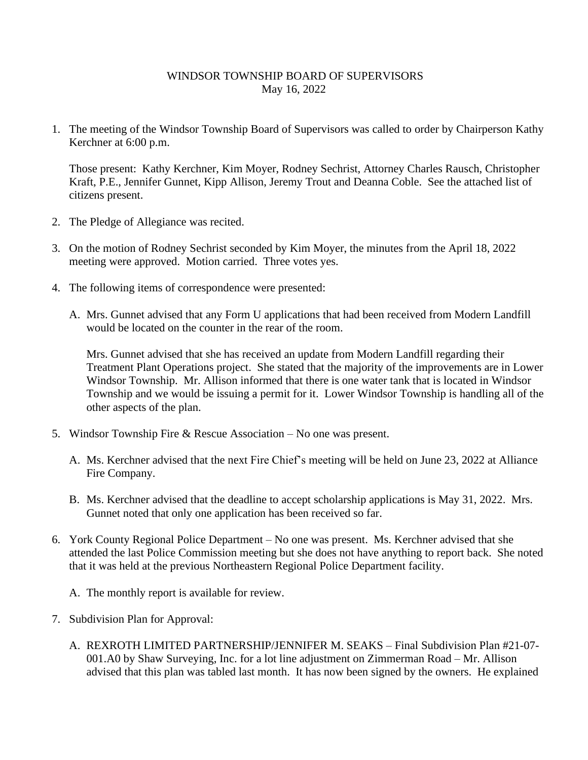## WINDSOR TOWNSHIP BOARD OF SUPERVISORS May 16, 2022

1. The meeting of the Windsor Township Board of Supervisors was called to order by Chairperson Kathy Kerchner at 6:00 p.m.

Those present: Kathy Kerchner, Kim Moyer, Rodney Sechrist, Attorney Charles Rausch, Christopher Kraft, P.E., Jennifer Gunnet, Kipp Allison, Jeremy Trout and Deanna Coble. See the attached list of citizens present.

- 2. The Pledge of Allegiance was recited.
- 3. On the motion of Rodney Sechrist seconded by Kim Moyer, the minutes from the April 18, 2022 meeting were approved. Motion carried. Three votes yes.
- 4. The following items of correspondence were presented:
	- A. Mrs. Gunnet advised that any Form U applications that had been received from Modern Landfill would be located on the counter in the rear of the room.

Mrs. Gunnet advised that she has received an update from Modern Landfill regarding their Treatment Plant Operations project. She stated that the majority of the improvements are in Lower Windsor Township. Mr. Allison informed that there is one water tank that is located in Windsor Township and we would be issuing a permit for it. Lower Windsor Township is handling all of the other aspects of the plan.

- 5. Windsor Township Fire & Rescue Association No one was present.
	- A. Ms. Kerchner advised that the next Fire Chief's meeting will be held on June 23, 2022 at Alliance Fire Company.
	- B. Ms. Kerchner advised that the deadline to accept scholarship applications is May 31, 2022. Mrs. Gunnet noted that only one application has been received so far.
- 6. York County Regional Police Department No one was present. Ms. Kerchner advised that she attended the last Police Commission meeting but she does not have anything to report back. She noted that it was held at the previous Northeastern Regional Police Department facility.
	- A. The monthly report is available for review.
- 7. Subdivision Plan for Approval:
	- A. REXROTH LIMITED PARTNERSHIP/JENNIFER M. SEAKS Final Subdivision Plan #21-07- 001.A0 by Shaw Surveying, Inc. for a lot line adjustment on Zimmerman Road – Mr. Allison advised that this plan was tabled last month. It has now been signed by the owners. He explained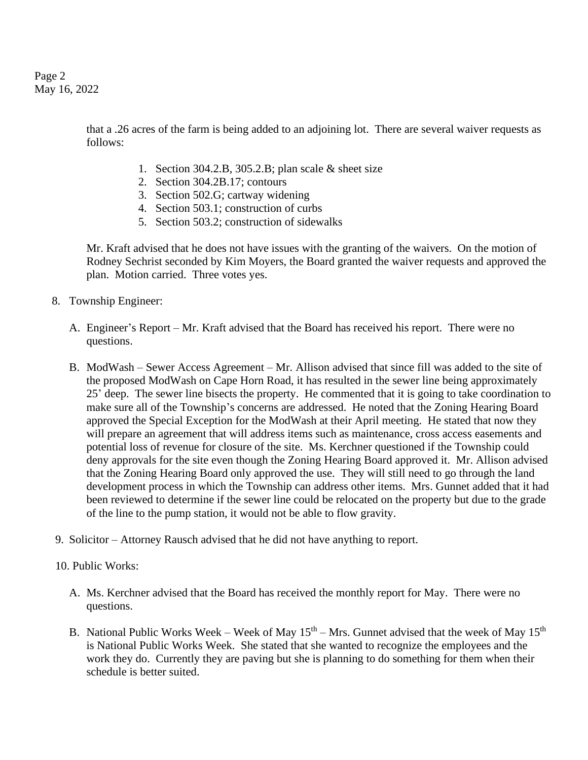Page 2 May 16, 2022

> that a .26 acres of the farm is being added to an adjoining lot. There are several waiver requests as follows:

- 1. Section 304.2.B, 305.2.B; plan scale & sheet size
- 2. Section 304.2B.17; contours
- 3. Section 502.G; cartway widening
- 4. Section 503.1; construction of curbs
- 5. Section 503.2; construction of sidewalks

Mr. Kraft advised that he does not have issues with the granting of the waivers. On the motion of Rodney Sechrist seconded by Kim Moyers, the Board granted the waiver requests and approved the plan. Motion carried. Three votes yes.

- 8. Township Engineer:
	- A. Engineer's Report Mr. Kraft advised that the Board has received his report. There were no questions.
	- B. ModWash Sewer Access Agreement Mr. Allison advised that since fill was added to the site of the proposed ModWash on Cape Horn Road, it has resulted in the sewer line being approximately 25' deep. The sewer line bisects the property. He commented that it is going to take coordination to make sure all of the Township's concerns are addressed. He noted that the Zoning Hearing Board approved the Special Exception for the ModWash at their April meeting. He stated that now they will prepare an agreement that will address items such as maintenance, cross access easements and potential loss of revenue for closure of the site. Ms. Kerchner questioned if the Township could deny approvals for the site even though the Zoning Hearing Board approved it. Mr. Allison advised that the Zoning Hearing Board only approved the use. They will still need to go through the land development process in which the Township can address other items. Mrs. Gunnet added that it had been reviewed to determine if the sewer line could be relocated on the property but due to the grade of the line to the pump station, it would not be able to flow gravity.
- 9. Solicitor Attorney Rausch advised that he did not have anything to report.

## 10. Public Works:

- A. Ms. Kerchner advised that the Board has received the monthly report for May. There were no questions.
- B. National Public Works Week Week of May  $15<sup>th</sup>$  Mrs. Gunnet advised that the week of May  $15<sup>th</sup>$ is National Public Works Week. She stated that she wanted to recognize the employees and the work they do. Currently they are paving but she is planning to do something for them when their schedule is better suited.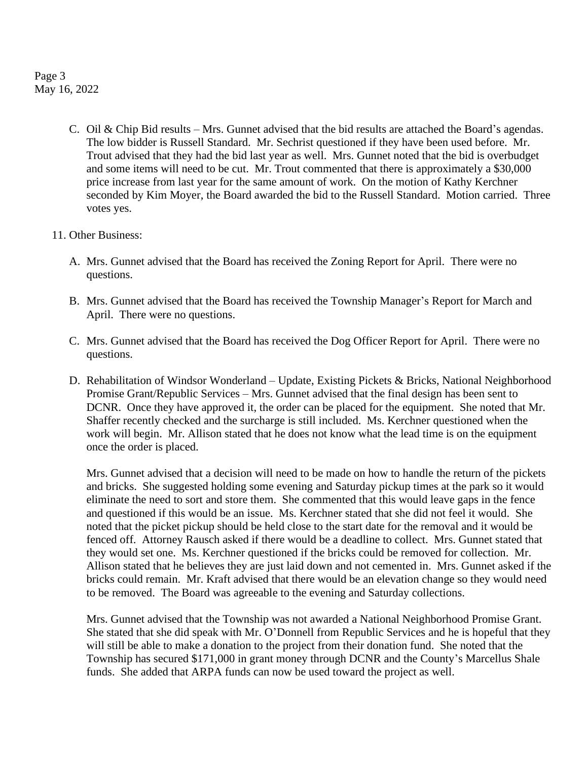Page 3 May 16, 2022

> C. Oil & Chip Bid results – Mrs. Gunnet advised that the bid results are attached the Board's agendas. The low bidder is Russell Standard. Mr. Sechrist questioned if they have been used before. Mr. Trout advised that they had the bid last year as well. Mrs. Gunnet noted that the bid is overbudget and some items will need to be cut. Mr. Trout commented that there is approximately a \$30,000 price increase from last year for the same amount of work. On the motion of Kathy Kerchner seconded by Kim Moyer, the Board awarded the bid to the Russell Standard. Motion carried. Three votes yes.

## 11. Other Business:

- A. Mrs. Gunnet advised that the Board has received the Zoning Report for April. There were no questions.
- B. Mrs. Gunnet advised that the Board has received the Township Manager's Report for March and April. There were no questions.
- C. Mrs. Gunnet advised that the Board has received the Dog Officer Report for April. There were no questions.
- D. Rehabilitation of Windsor Wonderland Update, Existing Pickets & Bricks, National Neighborhood Promise Grant/Republic Services – Mrs. Gunnet advised that the final design has been sent to DCNR. Once they have approved it, the order can be placed for the equipment. She noted that Mr. Shaffer recently checked and the surcharge is still included. Ms. Kerchner questioned when the work will begin. Mr. Allison stated that he does not know what the lead time is on the equipment once the order is placed.

Mrs. Gunnet advised that a decision will need to be made on how to handle the return of the pickets and bricks. She suggested holding some evening and Saturday pickup times at the park so it would eliminate the need to sort and store them. She commented that this would leave gaps in the fence and questioned if this would be an issue. Ms. Kerchner stated that she did not feel it would. She noted that the picket pickup should be held close to the start date for the removal and it would be fenced off. Attorney Rausch asked if there would be a deadline to collect. Mrs. Gunnet stated that they would set one. Ms. Kerchner questioned if the bricks could be removed for collection. Mr. Allison stated that he believes they are just laid down and not cemented in. Mrs. Gunnet asked if the bricks could remain. Mr. Kraft advised that there would be an elevation change so they would need to be removed. The Board was agreeable to the evening and Saturday collections.

Mrs. Gunnet advised that the Township was not awarded a National Neighborhood Promise Grant. She stated that she did speak with Mr. O'Donnell from Republic Services and he is hopeful that they will still be able to make a donation to the project from their donation fund. She noted that the Township has secured \$171,000 in grant money through DCNR and the County's Marcellus Shale funds. She added that ARPA funds can now be used toward the project as well.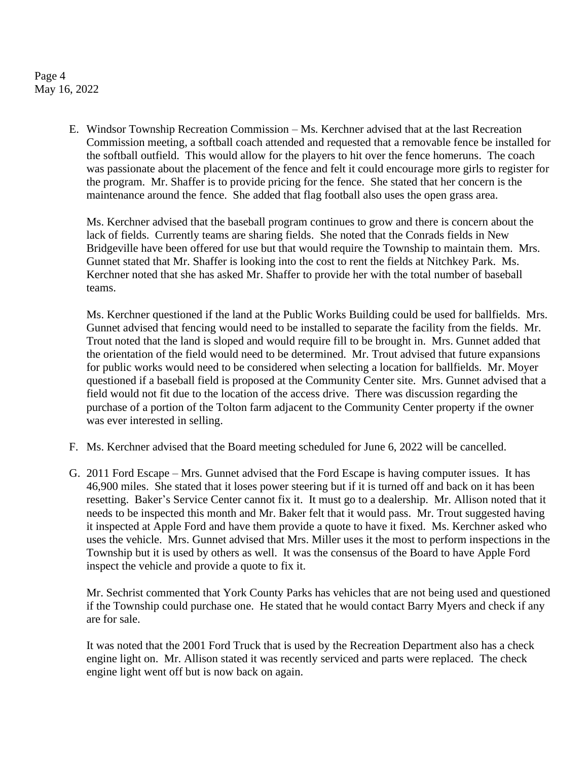Page 4 May 16, 2022

> E. Windsor Township Recreation Commission – Ms. Kerchner advised that at the last Recreation Commission meeting, a softball coach attended and requested that a removable fence be installed for the softball outfield. This would allow for the players to hit over the fence homeruns. The coach was passionate about the placement of the fence and felt it could encourage more girls to register for the program. Mr. Shaffer is to provide pricing for the fence. She stated that her concern is the maintenance around the fence. She added that flag football also uses the open grass area.

Ms. Kerchner advised that the baseball program continues to grow and there is concern about the lack of fields. Currently teams are sharing fields. She noted that the Conrads fields in New Bridgeville have been offered for use but that would require the Township to maintain them. Mrs. Gunnet stated that Mr. Shaffer is looking into the cost to rent the fields at Nitchkey Park. Ms. Kerchner noted that she has asked Mr. Shaffer to provide her with the total number of baseball teams.

Ms. Kerchner questioned if the land at the Public Works Building could be used for ballfields. Mrs. Gunnet advised that fencing would need to be installed to separate the facility from the fields. Mr. Trout noted that the land is sloped and would require fill to be brought in. Mrs. Gunnet added that the orientation of the field would need to be determined. Mr. Trout advised that future expansions for public works would need to be considered when selecting a location for ballfields. Mr. Moyer questioned if a baseball field is proposed at the Community Center site. Mrs. Gunnet advised that a field would not fit due to the location of the access drive. There was discussion regarding the purchase of a portion of the Tolton farm adjacent to the Community Center property if the owner was ever interested in selling.

- F. Ms. Kerchner advised that the Board meeting scheduled for June 6, 2022 will be cancelled.
- G. 2011 Ford Escape Mrs. Gunnet advised that the Ford Escape is having computer issues. It has 46,900 miles. She stated that it loses power steering but if it is turned off and back on it has been resetting. Baker's Service Center cannot fix it. It must go to a dealership. Mr. Allison noted that it needs to be inspected this month and Mr. Baker felt that it would pass. Mr. Trout suggested having it inspected at Apple Ford and have them provide a quote to have it fixed. Ms. Kerchner asked who uses the vehicle. Mrs. Gunnet advised that Mrs. Miller uses it the most to perform inspections in the Township but it is used by others as well. It was the consensus of the Board to have Apple Ford inspect the vehicle and provide a quote to fix it.

Mr. Sechrist commented that York County Parks has vehicles that are not being used and questioned if the Township could purchase one. He stated that he would contact Barry Myers and check if any are for sale.

It was noted that the 2001 Ford Truck that is used by the Recreation Department also has a check engine light on. Mr. Allison stated it was recently serviced and parts were replaced. The check engine light went off but is now back on again.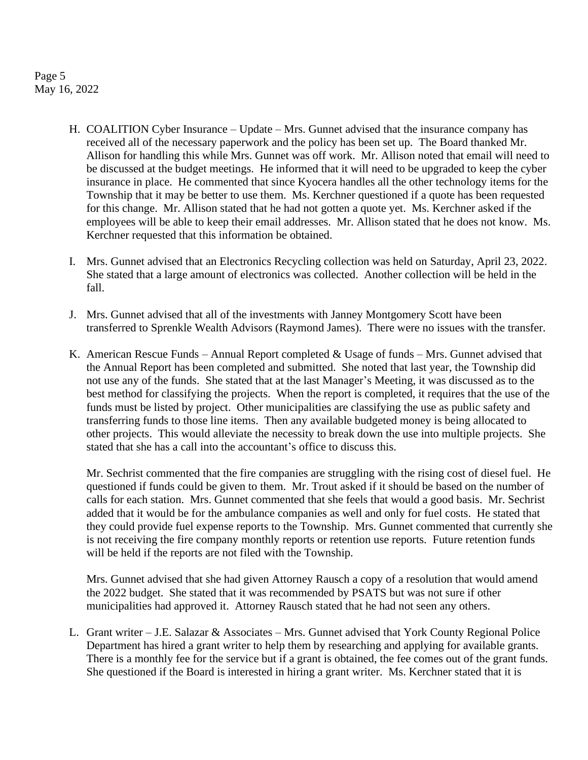Page 5 May 16, 2022

- H. COALITION Cyber Insurance Update Mrs. Gunnet advised that the insurance company has received all of the necessary paperwork and the policy has been set up. The Board thanked Mr. Allison for handling this while Mrs. Gunnet was off work. Mr. Allison noted that email will need to be discussed at the budget meetings. He informed that it will need to be upgraded to keep the cyber insurance in place. He commented that since Kyocera handles all the other technology items for the Township that it may be better to use them. Ms. Kerchner questioned if a quote has been requested for this change. Mr. Allison stated that he had not gotten a quote yet. Ms. Kerchner asked if the employees will be able to keep their email addresses. Mr. Allison stated that he does not know. Ms. Kerchner requested that this information be obtained.
- I. Mrs. Gunnet advised that an Electronics Recycling collection was held on Saturday, April 23, 2022. She stated that a large amount of electronics was collected. Another collection will be held in the fall.
- J. Mrs. Gunnet advised that all of the investments with Janney Montgomery Scott have been transferred to Sprenkle Wealth Advisors (Raymond James). There were no issues with the transfer.
- K. American Rescue Funds Annual Report completed & Usage of funds Mrs. Gunnet advised that the Annual Report has been completed and submitted. She noted that last year, the Township did not use any of the funds. She stated that at the last Manager's Meeting, it was discussed as to the best method for classifying the projects. When the report is completed, it requires that the use of the funds must be listed by project. Other municipalities are classifying the use as public safety and transferring funds to those line items. Then any available budgeted money is being allocated to other projects. This would alleviate the necessity to break down the use into multiple projects. She stated that she has a call into the accountant's office to discuss this.

Mr. Sechrist commented that the fire companies are struggling with the rising cost of diesel fuel. He questioned if funds could be given to them. Mr. Trout asked if it should be based on the number of calls for each station. Mrs. Gunnet commented that she feels that would a good basis. Mr. Sechrist added that it would be for the ambulance companies as well and only for fuel costs. He stated that they could provide fuel expense reports to the Township. Mrs. Gunnet commented that currently she is not receiving the fire company monthly reports or retention use reports. Future retention funds will be held if the reports are not filed with the Township.

Mrs. Gunnet advised that she had given Attorney Rausch a copy of a resolution that would amend the 2022 budget. She stated that it was recommended by PSATS but was not sure if other municipalities had approved it. Attorney Rausch stated that he had not seen any others.

L. Grant writer – J.E. Salazar & Associates – Mrs. Gunnet advised that York County Regional Police Department has hired a grant writer to help them by researching and applying for available grants. There is a monthly fee for the service but if a grant is obtained, the fee comes out of the grant funds. She questioned if the Board is interested in hiring a grant writer. Ms. Kerchner stated that it is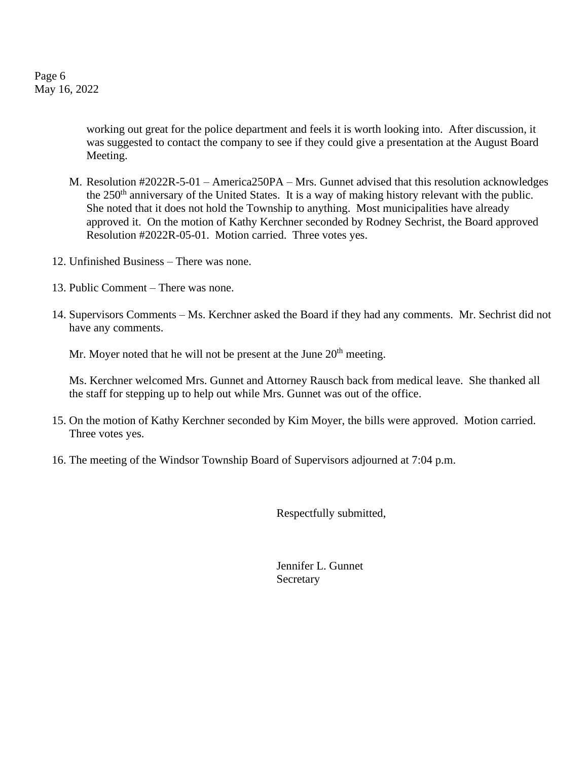Page 6 May 16, 2022

> working out great for the police department and feels it is worth looking into. After discussion, it was suggested to contact the company to see if they could give a presentation at the August Board Meeting.

- M. Resolution #2022R-5-01 America250PA Mrs. Gunnet advised that this resolution acknowledges the 250<sup>th</sup> anniversary of the United States. It is a way of making history relevant with the public. She noted that it does not hold the Township to anything. Most municipalities have already approved it. On the motion of Kathy Kerchner seconded by Rodney Sechrist, the Board approved Resolution #2022R-05-01. Motion carried. Three votes yes.
- 12. Unfinished Business There was none.
- 13. Public Comment There was none.
- 14. Supervisors Comments Ms. Kerchner asked the Board if they had any comments. Mr. Sechrist did not have any comments.

Mr. Moyer noted that he will not be present at the June  $20<sup>th</sup>$  meeting.

Ms. Kerchner welcomed Mrs. Gunnet and Attorney Rausch back from medical leave. She thanked all the staff for stepping up to help out while Mrs. Gunnet was out of the office.

- 15. On the motion of Kathy Kerchner seconded by Kim Moyer, the bills were approved. Motion carried. Three votes yes.
- 16. The meeting of the Windsor Township Board of Supervisors adjourned at 7:04 p.m.

Respectfully submitted,

Jennifer L. Gunnet Secretary